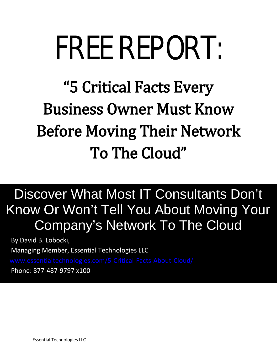# FREE REPORT:

# "5 Critical Facts Every Business Owner Must Know Before Moving Their Network To The Cloud"

# $\overline{1}$  Know Or Won't Tell You About Moving Your  $\overline{\phantom{a}}$ Discover What Most IT Consultants Don't Company's Network To The Cloud

By David B. Lobocki,

֠

Managing Member, Essential Technologies LLC

[www.essentialtechnologies.com/](http://www.essentialtechnologies.com/)5-Critical-Facts-About-Cloud/<br>Phone: 877-487-9797 x100

Phone: 877-487-9797 x100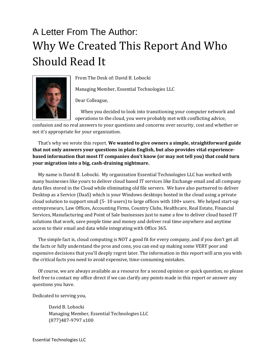# A Letter From The Author: Why We Created This Report And Who Should Read It



From The Desk of: David B. Lobocki

Managing Member, Essential Technologies LLC

Dear Colleague,

 When you decided to look into transitioning your computer network and operations to the cloud, you were probably met with conflicting advice,

confusion and no real answers to your questions and concerns over security, cost and whether or not it's appropriate for your organization.

 That's why we wrote this report. **We wanted to give owners a simple, straightforward guide that not only answers your questions in plain English, but also provides vital experiencebased information that most IT companies don't know (or may not tell you) that could turn your migration into a big, cash-draining nightmare.**

 My name is David B. Lobocki. My organization Essential Technologies LLC has worked with many businesses like yours to deliver cloud based IT services like Exchange email and all company data files stored in the Cloud while eliminating old file servers. We have also partnered to deliver Desktop as a Service (DaaS) which is your Windows desktops hosted in the cloud using a private cloud solution to support small (5- 10 users) to large offices with 100+ users. We helped start-up entrepreneurs, Law Offices, Accounting Firms, Country Clubs, Healthcare, Real Estate, Financial Services, Manufacturing and Point of Sale businesses just to name a few to deliver cloud based IT solutions that work, save people time and money and deliver real time anywhere and anytime access to their email and data while integrating with Office 365.

 The simple fact is, cloud computing is NOT a good fit for every company, and if you don't get all the facts or fully understand the pros and cons, you can end up making some VERY poor and expensive decisions that you'll deeply regret later. The information in this report will arm you with the critical facts you need to avoid expensive, time-consuming mistakes.

 Of course, we are always available as a resource for a second opinion or quick question, so please feel free to contact my office direct if we can clarify any points made in this report or answer any questions you have.

Dedicated to serving you,

David B. Lobocki Managing Member, Essential Technologies LLC (877)487-9797 x100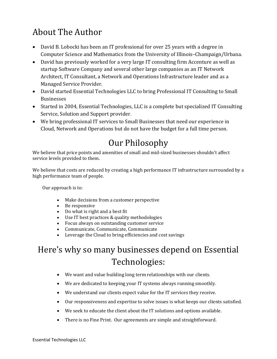# About The Author

- David B. Lobocki has been an IT professional for over 25 years with a degree in Computer Science and Mathematics from the University of Illinois–Champaign/Urbana.
- David has previously worked for a very large IT consulting firm Accenture as well as startup Software Company and several other large companies as an IT Network Architect, IT Consultant, a Network and Operations Infrastructure leader and as a Managed Service Provider.
- David started Essential Technologies LLC to bring Professional IT Consulting to Small Businesses
- Started in 2004, Essential Technologies, LLC is a complete but specialized IT Consulting Service, Solution and Support provider.
- We bring professional IT services to Small Businesses that need our experience in Cloud, Network and Operations but do not have the budget for a full time person.

## Our Philosophy

We believe that price points and amenities of small and mid-sized businesses shouldn't affect service levels provided to them.

We believe that costs are reduced by creating a high performance IT infrastructure surrounded by a high performance team of people.

Our approach is to:

- Make decisions from a customer perspective
- Be responsive
- Do what is right and a best fit
- Use IT best practices & quality methodologies
- Focus always on outstanding customer service
- Communicate, Communicate, Communicate
- Leverage the Cloud to bring efficiencies and cost savings

# Here's why so many businesses depend on Essential Technologies:

- We want and value building long term relationships with our clients.
- We are dedicated to keeping your IT systems always running smoothly.
- We understand our clients expect value for the IT services they receive.
- Our responsiveness and expertise to solve issues is what keeps our clients satisfied.
- We seek to educate the client about the IT solutions and options available.
- There is no Fine Print. Our agreements are simple and straightforward.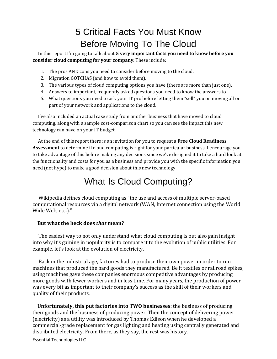# 5 Critical Facts You Must Know Before Moving To The Cloud

 In this report I'm going to talk about **5 very important facts you need to know before you consider cloud computing for your company**. These include:

- 1. The pros AND cons you need to consider before moving to the cloud.
- 2. Migration GOTCHAS (and how to avoid them).
- 3. The various types of cloud computing options you have (there are more than just one).
- 4. Answers to important, frequently asked questions you need to know the answers to.
- 5. What questions you need to ask your IT pro before letting them "sell" you on moving all or part of your network and applications to the cloud.

 I've also included an actual case study from another business that have moved to cloud computing, along with a sample cost-comparison chart so you can see the impact this new technology can have on your IT budget.

 At the end of this report there is an invitation for you to request a **Free Cloud Readiness Assessment** to determine if cloud computing is right for your particular business. I encourage you to take advantage of this before making any decisions since we've designed it to take a hard look at the functionality and costs for you as a business and provide you with the specific information you need (not hype) to make a good decision about this new technology.

### What Is Cloud Computing?

 Wikipedia defines cloud computing as "the use and access of multiple server-based computational resources via a digital network [\(WAN,](http://en.wikipedia.org/wiki/Wide_area_network) Internet connection using the World Wide Web, etc.)."

#### **But what the heck does** *that* **mean?**

 The easiest way to not only understand what cloud computing is but also gain insight into why it's gaining in popularity is to compare it to the evolution of public utilities. For example, let's look at the evolution of electricity.

 Back in the industrial age, factories had to produce their own power in order to run machines that produced the hard goods they manufactured. Be it textiles or railroad spikes, using machines gave these companies enormous competitive advantages by producing more goods with fewer workers and in less time. For many years, the production of power was every bit as important to their company's success as the skill of their workers and quality of their products.

 **Unfortunately, this put factories into TWO businesses:** the business of producing their goods and the business of producing power. Then the concept of delivering power (electricity) as a utility was introduced by Thomas Edison when he developed a commercial-grade replacement for gas lighting and heating using centrally generated and distributed electricity. From there, as they say, the rest was history.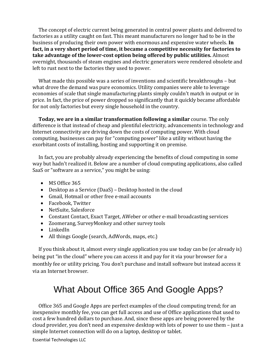The concept of electric current being generated in central power plants and delivered to factories as a utility caught on fast. This meant manufacturers no longer had to be in the business of producing their own power with enormous and expensive water wheels. **In fact, in a very short period of time, it became a competitive necessity for factories to take advantage of the lower-cost option being offered by public utilities.** Almost overnight, thousands of steam engines and electric generators were rendered obsolete and left to rust next to the factories they used to power.

 What made this possible was a series of inventions and scientific breakthroughs – but what drove the demand was pure economics. Utility companies were able to leverage economies of scale that single manufacturing plants simply couldn't match in output or in price. In fact, the price of power dropped so significantly that it quickly became affordable for not only factories but every single household in the country.

 **Today, we are in a similar transformation following a similar** course. The only difference is that instead of cheap and plentiful electricity, advancements in technology and Internet connectivity are driving down the costs of computing power. With cloud computing, businesses can pay for "computing power" like a utility without having the exorbitant costs of installing, hosting and supporting it on premise.

 In fact, you are probably already experiencing the benefits of cloud computing in some way but hadn't realized it. Below are a number of cloud computing applications, also called SaaS or "software as a service," you might be using:

- MS Office 365
- Desktop as a Service (DaaS) Desktop hosted in the cloud
- Gmail, Hotmail or other free e-mail accounts
- Facebook, Twitter
- NetSuite, Salesforce
- Constant Contact, Exact Target, AWeber or other e-mail broadcasting services
- Zoomerang, SurveyMonkey and other survey tools
- LinkedIn
- All things Google (search, AdWords, maps, etc.)

 If you think about it, almost every single application you use today can be (or already is) being put "in the cloud" where you can access it and pay for it via your browser for a monthly fee or utility pricing. You don't purchase and install software but instead access it via an Internet browser.

### What About Office 365 And Google Apps?

 Office 365 and Google Apps are perfect examples of the cloud computing trend; for an inexpensive monthly fee, you can get full access and use of Office applications that used to cost a few hundred dollars to purchase. And, since these apps are being powered by the cloud provider, you don't need an expensive desktop with lots of power to use them – just a simple Internet connection will do on a laptop, desktop or tablet.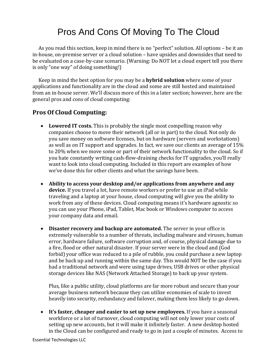## Pros And Cons Of Moving To The Cloud

 As you read this section, keep in mind there is no "perfect" solution. All options – be it an in-house, on-premise server or a cloud solution – have upsides and downsides that need to be evaluated on a case-by-case scenario. (Warning: Do NOT let a cloud expert tell you there is only "one way" of doing something!)

 Keep in mind the best option for you may be a **hybrid solution** where some of your applications and functionality are in the cloud and some are still hosted and maintained from an in-house server. We'll discuss more of this in a later section; however, here are the general pros and cons of cloud computing:

#### **Pros Of Cloud Computing:**

- **Lowered IT costs.** This is probably the single most compelling reason why companies choose to move their network (all or in part) to the cloud. Not only do you save money on software licenses, but on hardware (servers and workstations) as well as on IT support and upgrades. In fact, we save our clients an average of 15% to 20% when we move some or part of their network functionality to the cloud. So if you hate constantly writing cash-flow-draining checks for IT upgrades, you'll really want to look into cloud computing. Included in this report are examples of how we've done this for other clients and what the savings have been.
- **Ability to access your desktop and/or applications from anywhere and any device.** If you travel a lot, have remote workers or prefer to use an iPad while traveling and a laptop at your house, cloud computing will give you the ability to work from any of these devices. Cloud computing means it's hardware agnostic so you can use your Phone, iPad, Tablet, Mac book or Windows computer to access your company data and email.
- **Disaster recovery and backup are automated.** The server in your office is extremely vulnerable to a number of threats, including malware and viruses, human error, hardware failure, software corruption and, of course, physical damage due to a fire, flood or other natural disaster. If your server were in the cloud and (God forbid) your office was reduced to a pile of rubble, you could purchase a new laptop and be back up and running within the same day. This would NOT be the case if you had a traditional network and were using tape drives, USB drives or other physical storage devices like NAS (Network Attached Storage) to back up your system.

Plus, like a public utility, cloud platforms are far more robust and secure than your average business network because they can utilize economies of scale to invest heavily into security, redundancy and failover, making them less likely to go down.

• **It's faster, cheaper and easier to set up new employees.** If you have a seasonal workforce or a lot of turnover, cloud computing will not only lower your costs of setting up new accounts, but it will make it infinitely faster. A new desktop hosted in the Cloud can be configured and ready to go in just a couple of minutes. Access to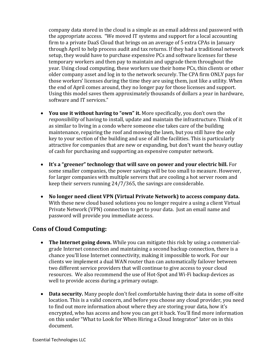company data stored in the cloud is a simple as an email address and password with the appropriate access. "We moved IT systems and support for a local accounting firm to a private DaaS Cloud that brings on an average of 5 extra CPAs in January through April to help process audit and tax returns. If they had a traditional network setup, they would have to purchase expensive PCs and software licenses for these temporary workers and then pay to maintain and upgrade them throughout the year. Using cloud computing, these workers use their home PCs, thin clients or other older company asset and log in to the network securely. The CPA firm ONLY pays for those workers' licenses during the time they are using them, just like a utility. When the end of April comes around, they no longer pay for those licenses and support. Using this model saves them approximately thousands of dollars a year in hardware, software and IT services."

- **You use it without having to "own" it.** More specifically, you don't own the *responsibility* of having to install, update and maintain the infrastructure. Think of it as similar to living in a condo where someone else takes care of the building maintenance, repairing the roof and mowing the lawn, but you still have the only key to your section of the building and use of all the facilities. This is particularly attractive for companies that are new or expanding, but don't want the heavy outlay of cash for purchasing and supporting an expensive computer network.
- **It's a "greener" technology that will save on power and your electric bill.** For some smaller companies, the power savings will be too small to measure. However, for larger companies with multiple servers that are cooling a hot server room and keep their servers running 24/7/365, the savings are considerable.
- **No longer need client VPN (Virtual Private Network) to access company data.** With these new cloud based solutions you no longer require a using a client Virtual Private Network (VPN) connection to get to your data. Just an email name and password will provide you immediate access.

#### **Cons of Cloud Computing:**

- **The Internet going down.** While you can mitigate this risk by using a commercialgrade Internet connection and maintaining a second backup connection, there is a chance you'll lose Internet connectivity, making it impossible to work. For our clients we implement a dual WAN router than can automatically failover between two different service providers that will continue to give access to your cloud resources. We also recommend the use of Hot-Spot and Wi-Fi backup devices as well to provide access during a primary outage.
- **Data security.** Many people don't feel comfortable having their data in some off-site location. This is a valid concern, and before you choose any cloud provider, you need to find out more information about where they are storing your data, how it's encrypted, who has access and how you can get it back. You'll find more information on this under "What to Look for When Hiring a Cloud Integrator" later on in this document.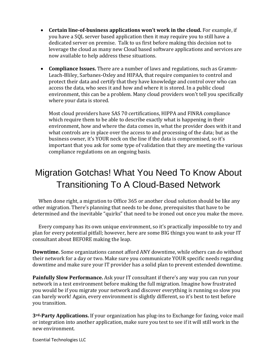- **Certain line-of-business applications won't work in the cloud.** For example, if you have a SQL server based application then it may require you to still have a dedicated server on premise. Talk to us first before making this decision not to leverage the cloud as many new Cloud based software applications and services are now available to help address these situations.
- **Compliance Issues.** There are a number of laws and regulations, such as Gramm-Leach-Bliley, Sarbanes-Oxley and HIPAA, that require companies to control and protect their data and certify that they have knowledge and control over who can access the data, who sees it and how and where it is stored. In a public cloud environment, this can be a problem. Many cloud providers won't tell you specifically where your data is stored.

Most cloud providers have SAS 70 certifications, HIPPA and FINRA compliance which require them to be able to describe exactly what is happening in their environment, how and where the data comes in, what the provider does with it and what controls are in place over the access to and processing of the data; but as the business owner, it's YOUR neck on the line if the data is compromised, so it's important that you ask for some type of validation that they are meeting the various compliance regulations on an ongoing basis.

# Migration Gotchas! What You Need To Know About Transitioning To A Cloud-Based Network

 When done right, a migration to Office 365 or another cloud solution should be like any other migration. There's planning that needs to be done, prerequisites that have to be determined and the inevitable "quirks" that need to be ironed out once you make the move.

 Every company has its own unique environment, so it's practically impossible to try and plan for every potential pitfall; however, here are some BIG things you want to ask your IT consultant about BEFORE making the leap.

**Downtime.** Some organizations cannot afford ANY downtime, while others can do without their network for a day or two. Make sure you communicate YOUR specific needs regarding downtime and make sure your IT provider has a solid plan to prevent extended downtime.

**Painfully Slow Performance.** Ask your IT consultant if there's any way you can run your network in a test environment before making the full migration. Imagine how frustrated you would be if you migrate your network and discover everything is running so slow you can barely work! Again, every environment is slightly different, so it's best to test before you transition.

**3rd-Party Applications.** If your organization has plug-ins to Exchange for faxing, voice mail or integration into another application, make sure you test to see if it will still work in the new environment.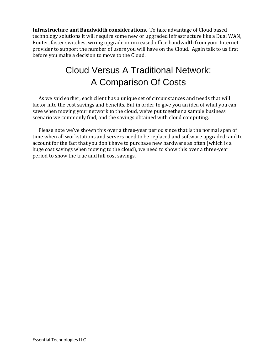**Infrastructure and Bandwidth considerations.**To take advantage of Cloud based technology solutions it will require some new or upgraded infrastructure like a Dual WAN, Router, faster switches, wiring upgrade or increased office bandwidth from your Internet provider to support the number of users you will have on the Cloud. Again talk to us first before you make a decision to move to the Cloud.

# Cloud Versus A Traditional Network: A Comparison Of Costs

 As we said earlier, each client has a unique set of circumstances and needs that will factor into the cost savings and benefits. But in order to give you an idea of what you can save when moving your network to the cloud, we've put together a sample business scenario we commonly find, and the savings obtained with cloud computing.

 Please note we've shown this over a three-year period since that is the normal span of time when all workstations and servers need to be replaced and software upgraded; and to account for the fact that you don't have to purchase new hardware as often (which is a huge cost savings when moving to the cloud), we need to show this over a three-year period to show the true and full cost savings.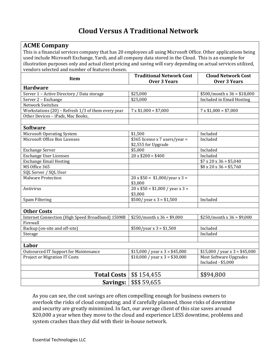#### **Cloud Versus A Traditional Network**

| <b>ACME Company</b>                                                                                              |                                                     |                                              |
|------------------------------------------------------------------------------------------------------------------|-----------------------------------------------------|----------------------------------------------|
| This is a financial services company that has 20 employees all using Microsoft Office. Other applications being  |                                                     |                                              |
| used include Microsoft Exchange, Yardi, and all company data stored in the Cloud. This is an example for         |                                                     |                                              |
| illustration purposes only and actual client pricing and saving will vary depending on actual services utilized, |                                                     |                                              |
| vendors selected and number of features chosen.                                                                  |                                                     |                                              |
|                                                                                                                  | <b>Traditional Network Cost</b>                     | <b>Cloud Network Cost</b>                    |
| Item                                                                                                             | <b>Over 3 Years</b>                                 | <b>Over 3 Years</b>                          |
| <b>Hardware</b>                                                                                                  |                                                     |                                              |
| Server 1 - Active Directory / Data storage                                                                       | \$25,000                                            | $$500/m$ onth x 36 = \$18,000                |
| Server 2 - Exchange                                                                                              | \$25,000                                            | <b>Included in Email Hosting</b>             |
| Network Switches                                                                                                 |                                                     |                                              |
| Workstations $(20)$ – Refresh 1/3 of them every year                                                             | $7 \times $1,000 = $7,000$                          | $7 \times $1,000 = $7,000$                   |
| Other Devices - iPads, Mac Books,                                                                                |                                                     |                                              |
|                                                                                                                  |                                                     |                                              |
| <b>Software</b>                                                                                                  |                                                     |                                              |
| <b>Microsoft Operating System</b>                                                                                | \$1,500                                             | Included                                     |
| Microsoft Office Box Licenses                                                                                    | \$365 license x 7 users/year =                      | Included                                     |
|                                                                                                                  | \$2,555 for Upgrade                                 |                                              |
| <b>Exchange Server</b>                                                                                           | \$5,000                                             | Included                                     |
| <b>Exchange User Licenses</b>                                                                                    | $20 \times $200 = $400$                             | Included                                     |
| <b>Exchange Email Hosting</b>                                                                                    |                                                     | $$7 \times 20 \times 36 = $5,040$            |
| MS Office 365                                                                                                    |                                                     | $\frac{1}{88} \times 20 \times 36 = $5,760$  |
| SQL Server / SQL User                                                                                            |                                                     |                                              |
| <b>Malware Protection</b>                                                                                        | $20 \times $50 = $1,000/year \times 3 =$<br>\$3,000 |                                              |
| Antivirus                                                                                                        | $20 \times $50 = $1,000$ / year x 3 =<br>\$3,000    |                                              |
| Spam Filtering                                                                                                   | $$500/$ year x 3 = \$1,500                          | Included                                     |
|                                                                                                                  |                                                     |                                              |
| <b>Other Costs</b>                                                                                               |                                                     |                                              |
| Internet Connection (High Speed Broadband) 150MB                                                                 | $$250/month x 36 = $9,000$                          | $$250/month x 36 = $9,000$                   |
| Firewall                                                                                                         |                                                     |                                              |
| Backup (on-site and off-site)                                                                                    | $$500/year \times 3 = $1,500$                       | Included                                     |
| Storage                                                                                                          |                                                     | Included                                     |
|                                                                                                                  |                                                     |                                              |
| Labor                                                                                                            |                                                     |                                              |
| <b>Outsourced IT Support for Maintenance</b>                                                                     | $$15,000 / year x 3 = $45,000$                      | $$15,000 / year \times 3 = $45,000$          |
| <b>Project or Migration IT Costs</b>                                                                             | $\overline{$10,000}$ / year x 3 = \$30,000          | Most Software Upgrades<br>Included - \$5,000 |
|                                                                                                                  |                                                     |                                              |
| <b>Total Costs</b>                                                                                               | \$\$154,455                                         | \$\$94,800                                   |
| \$\$\$59,655<br>Savings:                                                                                         |                                                     |                                              |

As you can see, the cost savings are often compelling enough for business owners to overlook the risks of cloud computing; and if carefully planned, those risks of downtime and security are greatly minimized. In fact, our average client of this size saves around \$20,000 a year when they move to the cloud and experience LESS downtime, problems and system crashes than they did with their in-house network.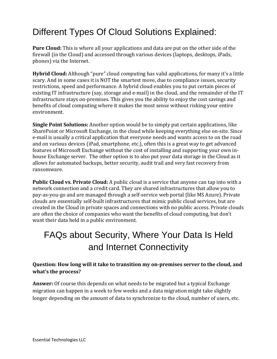# Different Types Of Cloud Solutions Explained:

**Pure Cloud:** This is where all your applications and data are put on the other side of the firewall (in the Cloud) and accessed through various devices (laptops, desktops, iPads, phones) via the Internet.

**Hybrid Cloud:** Although "pure" cloud computing has valid applications, for many it's a little scary. And in some cases it is NOT the smartest move, due to compliance issues, security restrictions, speed and performance. A hybrid cloud enables you to put certain pieces of existing IT infrastructure (say, storage and e-mail) in the cloud, and the remainder of the IT infrastructure stays on-premises. This gives you the ability to enjoy the cost savings and benefits of cloud computing where it makes the most sense without risking your entire environment.

**Single Point Solutions:** Another option would be to simply put certain applications, like SharePoint or Microsoft Exchange, in the cloud while keeping everything else on-site. Since e-mail is usually a critical application that everyone needs and wants access to on the road and on various devices (iPad, smartphone, etc.), often this is a great way to get advanced features of Microsoft Exchange without the cost of installing and supporting your own inhouse Exchange server. The other option is to also put your data storage in the Cloud as it allows for automated backups, better security, audit trail and very fast recovery from ransomware.

**Public Cloud vs. Private Cloud:** A public cloud is a service that anyone can tap into with a network connection and a credit card. They are shared infrastructures that allow you to pay-as-you-go and are managed through a self-service web portal (like MS Azure). Private clouds are essentially self-built infrastructures that mimic public cloud services, but are created in the Cloud in private spaces and connections with no public access. Private clouds are often the choice of companies who want the benefits of cloud computing, but don't want their data held in a public environment.

# FAQs about Security, Where Your Data Is Held and Internet Connectivity

#### **Question: How long will it take to transition my on-premises server to the cloud, and what's the process?**

**Answer:** Of course this depends on what needs to be migrated but a typical Exchange migration can happen in a week to few weeks and a data migration might take slightly longer depending on the amount of data to synchronize to the cloud, number of users, etc.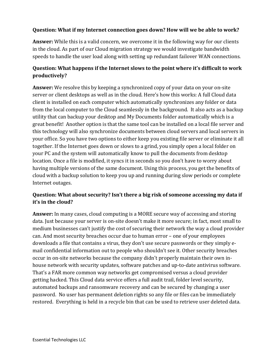#### **Question: What if my Internet connection goes down? How will we be able to work?**

**Answer:** While this is a valid concern, we overcome it in the following way for our clients in the cloud. As part of our Cloud migration strategy we would investigate bandwidth speeds to handle the user load along with setting up redundant failover WAN connections.

#### **Question: What happens if the Internet slows to the point where it's difficult to work productively?**

**Answer:** We resolve this by keeping a synchronized copy of your data on your on-site server or client desktops as well as in the cloud. Here's how this works: A full Cloud data client is installed on each computer which automatically synchronizes any folder or data from the local computer to the Cloud seamlessly in the background. It also acts as a backup utility that can backup your desktop and My Documents folder automatically which is a great benefit! Another option is that the same tool can be installed on a local file server and this technology will also synchronize documents between cloud servers and local servers in your office. So you have two options to either keep you existing file server or eliminate it all together. If the Internet goes down or slows to a grind, you simply open a local folder on your PC and the system will automatically know to pull the documents from desktop location. Once a file is modified, it syncs it in seconds so you don't have to worry about having multiple versions of the same document. Using this process, you get the benefits of cloud with a backup solution to keep you up and running during slow periods or complete Internet outages.

#### **Question: What about security? Isn't there a big risk of someone accessing my data if it's in the cloud?**

**Answer:** In many cases, cloud computing is a MORE secure way of accessing and storing data. Just because your server is on-site doesn't make it more secure; in fact, most small to medium businesses can't justify the cost of securing their network the way a cloud provider can. And most security breaches occur due to human error – one of your employees downloads a file that contains a virus, they don't use secure passwords or they simply email confidential information out to people who shouldn't see it. Other security breaches occur in on-site networks because the company didn't properly maintain their own inhouse network with security updates, software patches and up-to-date antivirus software. That's a FAR more common way networks get compromised versus a cloud provider getting hacked. This Cloud data service offers a full audit trail, folder level security, automated backups and ransomware recovery and can be secured by changing a user password. No user has permanent deletion rights so any file or files can be immediately restored. Everything is held in a recycle bin that can be used to retrieve user deleted data.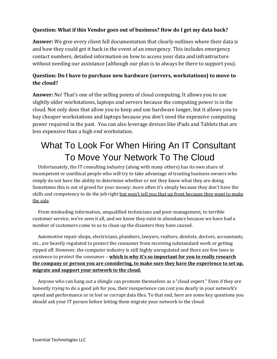#### **Question: What if this Vendor goes out of business? How do I get my data back?**

**Answer:** We give every client full documentation that clearly outlines where their data is and how they could get it back in the event of an emergency. This includes emergency contact numbers, detailed information on how to access your data and infrastructure without needing our assistance (although our plan is to always be there to support you).

#### **Question: Do I have to purchase new hardware (servers, workstations) to move to the cloud?**

**Answer:** No! That's one of the selling points of cloud computing. It allows you to use slightly older workstations, laptops and servers because the computing power is in the cloud. Not only does that allow you to keep and use hardware longer, but it allows you to buy cheaper workstations and laptops because you don't need the expensive computing power required in the past. You can also leverage devices like iPads and Tablets that are less expensive than a high end workstation.

# What To Look For When Hiring An IT Consultant To Move Your Network To The Cloud

 Unfortunately, the IT consulting industry (along with many others) has its own share of incompetent or unethical people who will try to take advantage of trusting business owners who simply do not have the ability to determine whether or not they know what they are doing. Sometimes this is out of greed for your money; more often it's simply because they don't have the skills and competency to do the job right but won't tell you that up front because they want to make the sale.

 From misleading information, unqualified technicians and poor management, to terrible customer service, we've seen it all, and we know they exist in abundance because we have had a number of customers come to us to clean up the disasters they have caused.

Automotive repair shops, electricians, plumbers, lawyers, realtors, dentists, doctors, accountants, etc., are heavily regulated to protect the consumer from receiving substandard work or getting ripped off. However, the computer industry is still highly unregulated and there are few laws in existence to protect the consumer – **which is why it's so important for you to really research the company or person you are considering, to make sure they have the experience to set up, migrate and support your network to the cloud.**

 Anyone who can hang out a shingle can promote themselves as a "cloud expert." Even if they are honestly *trying* to do a good job for you, their inexperience can cost you dearly in your network's speed and performance or in lost or corrupt data files. To that end, here are some key questions you should ask your IT person before letting them migrate your network to the cloud: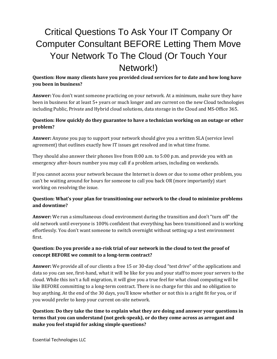# Critical Questions To Ask Your IT Company Or Computer Consultant BEFORE Letting Them Move Your Network To The Cloud (Or Touch Your Network!)

**Question: How many clients have you provided cloud services for to date and how long have you been in business?**

**Answer:** You don't want someone practicing on your network. At a minimum, make sure they have been in business for at least 5+ years or much longer and are current on the new Cloud technologies including Public, Private and Hybrid cloud solutions, data storage in the Cloud and MS-Office 365.

#### **Question: How quickly do they guarantee to have a technician working on an outage or other problem?**

**Answer:** Anyone you pay to support your network should give you a written SLA (service level agreement) that outlines exactly how IT issues get resolved and in what time frame.

They should also answer their phones live from 8:00 a.m. to 5:00 p.m. and provide you with an emergency after-hours number you may call if a problem arises, including on weekends.

If you cannot access your network because the Internet is down or due to some other problem, you can't be waiting around for hours for someone to call you back OR (more importantly) start working on resolving the issue.

#### **Question: What's your plan for transitioning our network to the cloud to minimize problems and downtime?**

**Answer:** We run a simultaneous cloud environment during the transition and don't "turn off" the old network until everyone is 100% confident that everything has been transitioned and is working effortlessly. You don't want someone to switch overnight without setting up a test environment first.

#### **Question: Do you provide a no-risk trial of our network in the cloud to test the proof of concept BEFORE we commit to a long-term contract?**

**Answer:** We provide all of our clients a free 15 or 30-day cloud "test drive" of the applications and data so you can see, first-hand, what it will be like for you and your staff to move your servers to the cloud. While this isn't a full migration, it will give you a true feel for what cloud computing will be like BEFORE committing to a long-term contract. There is no charge for this and no obligation to buy anything. At the end of the 30 days, you'll know whether or not this is a right fit for you, or if you would prefer to keep your current on-site network.

**Question: Do they take the time to explain what they are doing and answer your questions in terms that you can understand (not geek-speak), or do they come across as arrogant and make you feel stupid for asking simple questions?**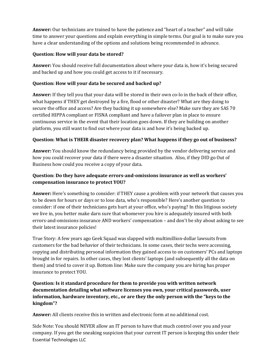**Answer:** Our technicians are trained to have the patience and "heart of a teacher" and will take time to answer your questions and explain everything in simple terms. Our goal is to make sure you have a clear understanding of the options and solutions being recommended in advance.

#### **Question: How will your data be stored?**

**Answer:** You should receive full documentation about where your data is, how it's being secured and backed up and how you could get access to it if necessary.

#### **Question: How will your data be secured and backed up?**

**Answer:** If they tell you that your data will be stored in their own co-lo in the back of their office, what happens if THEY get destroyed by a fire, flood or other disaster? What are they doing to secure the office and access? Are they backing it up somewhere else? Make sure they are SAS 70 certified HIPPA compliant or FISNA compliant and have a failover plan in place to ensure continuous service in the event that their location goes down. If they are building on another platform, you still want to find out where your data is and how it's being backed up.

#### **Question: What is THEIR disaster recovery plan? What happens if they go out of business?**

**Answer:** You should know the redundancy being provided by the vendor delivering service and how you could recover your data if there were a disaster situation. Also, if they DID go Out of Business how could you receive a copy of your data.

#### **Question: Do they have adequate errors-and-omissions insurance as well as workers' compensation insurance to protect YOU?**

**Answer:** Here's something to consider: if THEY cause a problem with your network that causes you to be down for hours or days or to lose data, who's responsible? Here's another question to consider: if one of their technicians gets hurt at your office, who's paying? In this litigious society we live in, you better make darn sure that whomever you hire is adequately insured with both errors-and-omissions insurance AND workers' compensation – and don't be shy about asking to see their latest insurance policies!

True Story: A few years ago Geek Squad was slapped with multimillion-dollar lawsuits from customers for the bad behavior of their technicians. In some cases, their techs were accessing, copying and distributing personal information they gained access to on customers' PCs and laptops brought in for repairs. In other cases, they lost clients' laptops (and subsequently all the data on them) and tried to cover it up. Bottom line: Make sure the company you are hiring has proper insurance to protect YOU.

#### **Question: Is it standard procedure for them to provide you with written network documentation detailing what software licenses you own, your critical passwords, user information, hardware inventory, etc., or are they the only person with the "keys to the kingdom"?**

**Answer:** All clients receive this in written and electronic form at no additional cost.

Essential Technologies LLC Side Note: You should NEVER allow an IT person to have that much control over you and your company. If you get the sneaking suspicion that your current IT person is keeping this under their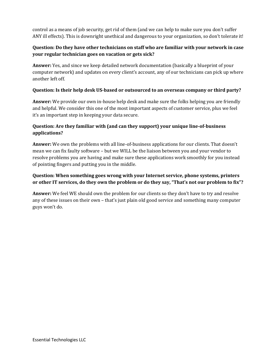control as a means of job security, get rid of them (and we can help to make sure you don't suffer ANY ill effects). This is downright unethical and dangerous to your organization, so don't tolerate it!

#### **Question: Do they have other technicians on staff who are familiar with your network in case your regular technician goes on vacation or gets sick?**

**Answer:** Yes, and since we keep detailed network documentation (basically a blueprint of your computer network) and updates on every client's account, any of our technicians can pick up where another left off.

#### **Question: Is their help desk US-based or outsourced to an overseas company or third party?**

**Answer:** We provide our own in-house help desk and make sure the folks helping you are friendly and helpful. We consider this one of the most important aspects of customer service, plus we feel it's an important step in keeping your data secure.

#### **Question: Are they familiar with (and can they support) your unique line-of-business applications?**

**Answer:** We own the problems with all line-of-business applications for our clients. That doesn't mean we can fix faulty software – but we WILL be the liaison between you and your vendor to resolve problems you are having and make sure these applications work smoothly for you instead of pointing fingers and putting you in the middle.

#### **Question: When something goes wrong with your Internet service, phone systems, printers or other IT services, do they own the problem or do they say, "That's not our problem to fix"?**

**Answer:** We feel WE should own the problem for our clients so they don't have to try and resolve any of these issues on their own – that's just plain old good service and something many computer guys won't do.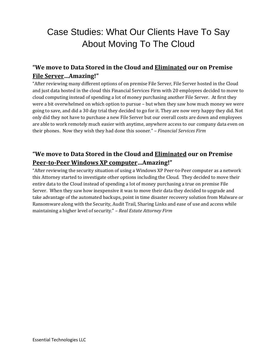# Case Studies: What Our Clients Have To Say About Moving To The Cloud

#### **"We move to Data Stored in the Cloud and Eliminated our on Premise File Server…Amazing!"**

"After reviewing many different options of on premise File Server, File Server hosted in the Cloud and just data hosted in the cloud this Financial Services Firm with 20 employees decided to move to cloud computing instead of spending a lot of money purchasing another File Server. At first they were a bit overwhelmed on which option to pursue – but when they saw how much money we were going to save, and did a 30 day trial they decided to go for it. They are now very happy they did. Not only did they not have to purchase a new File Server but our overall costs are down and employees are able to work remotely much easier with anytime, anywhere access to our company data even on their phones. Now they wish they had done this sooner." *– Financial Services Firm*

#### **"We move to Data Stored in the Cloud and Eliminated our on Premise Peer-to-Peer Windows XP computer…Amazing!"**

"After reviewing the security situation of using a Windows XP Peer-to-Peer computer as a network this Attorney started to investigate other options including the Cloud. They decided to move their entire data to the Cloud instead of spending a lot of money purchasing a true on premise File Server. When they saw how inexpensive it was to move their data they decided to upgrade and take advantage of the automated backups, point in time disaster recovery solution from Malware or Ransomware along with the Security, Audit Trail, Sharing Links and ease of use and access while maintaining a higher level of security." *– Real Estate Attorney Firm*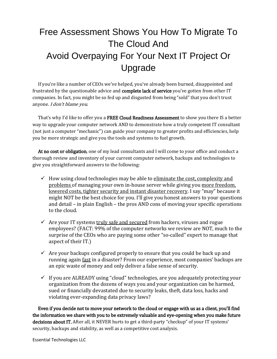# Free Assessment Shows You How To Migrate To The Cloud And Avoid Overpaying For Your Next IT Project Or Upgrade

 If you're like a number of CEOs we've helped, you've already been burned, disappointed and frustrated by the questionable advice and complete lack of service you've gotten from other IT companies. In fact, you might be so fed up and disgusted from being "sold" that you don't trust anyone. I don't blame you.

That's why I'd like to offer you a FREE Cloud Readiness Assessment to show you there IS a better way to upgrade your computer network AND to demonstrate how a truly competent IT consultant (not just a computer "mechanic") can guide your company to greater profits and efficiencies, help you be more strategic and give you the tools and systems to fuel growth.

At no cost or obligation, one of my lead consultants and I will come to your office and conduct a thorough review and inventory of your current computer network, backups and technologies to give you straightforward answers to the following:

- $\checkmark$  How using cloud technologies may be able to eliminate the cost, complexity and problems of managing your own in-house server while giving you more freedom, lowered costs, tighter security and instant disaster recovery. I say "may" because it might NOT be the best choice for you. I'll give you honest answers to your questions and detail – in plain English – the pros AND cons of moving your specific operations to the cloud.
- $\checkmark$  Are your IT systems truly safe and secured from hackers, viruses and rogue employees? (FACT: 99% of the computer networks we review are NOT, much to the surprise of the CEOs who are paying some other "so-called" expert to manage that aspect of their IT.)
- $\checkmark$  Are your backups configured properly to ensure that you could be back up and running again fast in a disaster? From our experience, most companies' backups are an epic waste of money and only deliver a false sense of security.
- $\checkmark$  If you are ALREADY using "cloud" technologies, are you adequately protecting your organization from the dozens of ways you and your organization can be harmed, sued or financially devastated due to security leaks, theft, data loss, hacks and violating ever-expanding data privacy laws?

 Even if you decide not to move your network to the cloud or engage with us as a client, you'll find the information we share with you to be extremely valuable and eye-opening when you make future decisions about IT. After all, it NEVER hurts to get a third-party "checkup" of your IT systems' security, backups and stability, as well as a competitive cost analysis.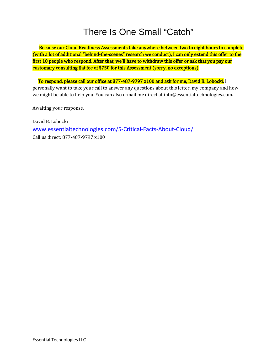# There Is One Small "Catch"

 Because our Cloud Readiness Assessments take anywhere between two to eight hours to complete (with a lot of additional "behind-the-scenes" research we conduct), I can only extend this offer to the first 10 people who respond. After that, we'll have to withdraw this offer or ask that you pay our customary consulting flat fee of \$750 for this Assessment (sorry, no exceptions).

 To respond, please call our office at 877-487-9797 x100 and ask for me, David B. Lobocki. I personally want to take your call to answer any questions about this letter, my company and how we might be able to help you. You can also e-mail me direct at info@essentialtechnologies.com.

Awaiting your response,

David B. Lobocki [www.essentialtechnologies.com/5-Critical-Facts-About-Cloud/](http://www.essentialtechnologies.com/5-Critical-Facts-About-Cloud/) Call us direct: 877-487-9797 x100